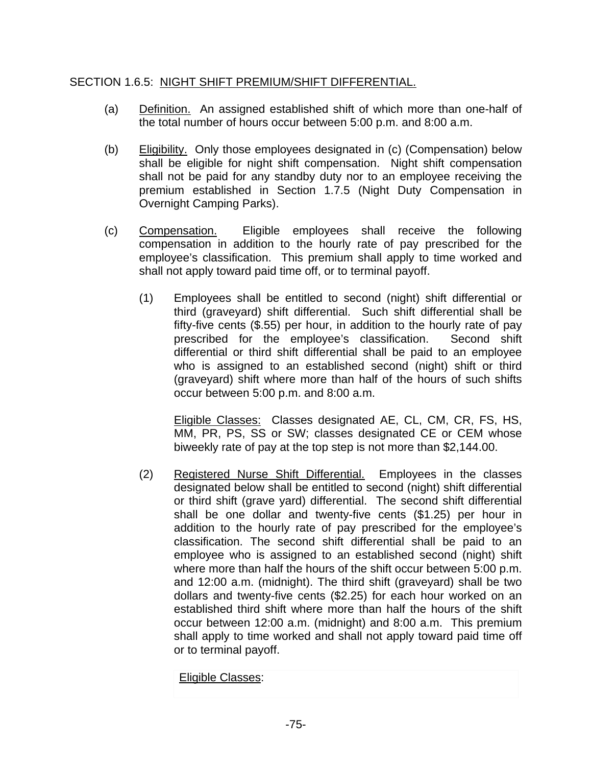## SECTION 1.6.5: NIGHT SHIFT PREMIUM/SHIFT DIFFERENTIAL.

- (a) Definition. An assigned established shift of which more than one-half of the total number of hours occur between 5:00 p.m. and 8:00 a.m.
- (b) Eligibility. Only those employees designated in (c) (Compensation) below shall be eligible for night shift compensation. Night shift compensation shall not be paid for any standby duty nor to an employee receiving the premium established in Section 1.7.5 (Night Duty Compensation in Overnight Camping Parks).
- (c) Compensation. Eligible employees shall receive the following compensation in addition to the hourly rate of pay prescribed for the employee's classification. This premium shall apply to time worked and shall not apply toward paid time off, or to terminal payoff.
	- (1) Employees shall be entitled to second (night) shift differential or third (graveyard) shift differential. Such shift differential shall be fifty-five cents (\$.55) per hour, in addition to the hourly rate of pay prescribed for the employee's classification. Second shift differential or third shift differential shall be paid to an employee who is assigned to an established second (night) shift or third (graveyard) shift where more than half of the hours of such shifts occur between 5:00 p.m. and 8:00 a.m.

 Eligible Classes: Classes designated AE, CL, CM, CR, FS, HS, MM, PR, PS, SS or SW; classes designated CE or CEM whose biweekly rate of pay at the top step is not more than \$2,144.00.

(2) Registered Nurse Shift Differential. Employees in the classes designated below shall be entitled to second (night) shift differential or third shift (grave yard) differential. The second shift differential shall be one dollar and twenty-five cents (\$1.25) per hour in addition to the hourly rate of pay prescribed for the employee's classification. The second shift differential shall be paid to an employee who is assigned to an established second (night) shift where more than half the hours of the shift occur between 5:00 p.m. and 12:00 a.m. (midnight). The third shift (graveyard) shall be two dollars and twenty-five cents (\$2.25) for each hour worked on an established third shift where more than half the hours of the shift occur between 12:00 a.m. (midnight) and 8:00 a.m. This premium shall apply to time worked and shall not apply toward paid time off or to terminal payoff.

Eligible Classes: